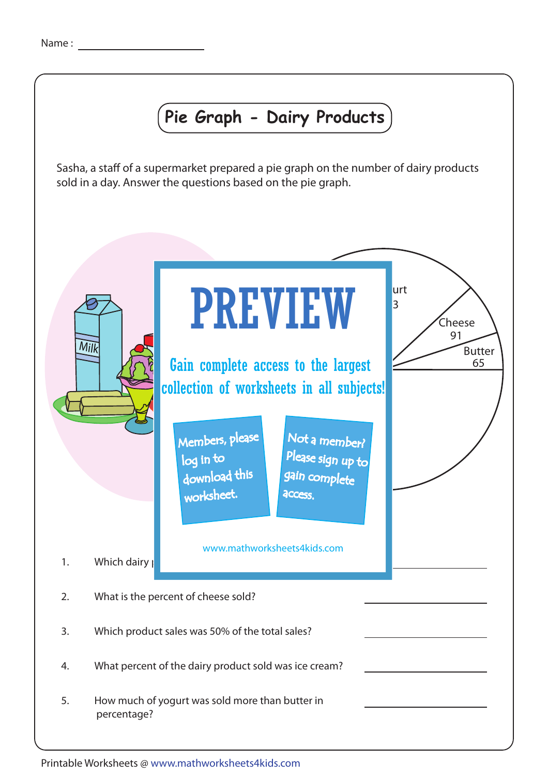